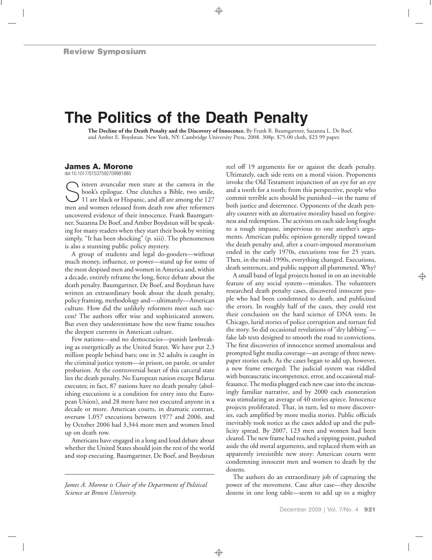## **The Politics of the Death Penalty**

**The Decline of the Death Penalty and the Discovery of Innocence.** By Frank R. Baumgartner, Suzanna L. De Boef, and Amber E. Boydstun. New York, NY: Cambridge University Press, 2008. 308p. \$75.00 cloth, \$23.99 paper.

## **James A. Morone**

doi:10.1017/S1537592709991885

Sixteen avuncular men stare at the camera in the<br>
book's epilogue. One clutches a Bible, two smile,<br>
11 are black or Hispanic, and all are among the 127<br>
men and women released from death row ofter reformers book's epilogue. One clutches a Bible, two smile, men and women released from death row after reformers uncovered evidence of their innocence. Frank Baumgartner, Suzanna De Boef, and Amber Boydstun will be speaking for many readers when they start their book by writing simply, "It has been shocking" (p. xiii). The phenomenon is also a stunning public policy mystery.

A group of students and legal do-gooders—without much money, influence, or power—stand up for some of the most despised men and women in America and, within a decade, entirely reframe the long, fierce debate about the death penalty. Baumgartner, De Boef, and Boydstun have written an extraordinary book about the death penalty, policy framing, methodology and—ultimately—American culture. How did the unlikely reformers meet such success? The authors offer wise and sophisticated answers. But even they underestimate how the new frame touches the deepest currents in American culture.

Few nations—and no democracies—punish lawbreaking as energetically as the United States. We have put 2.3 million people behind bars; one in 32 adults is caught in the criminal justice system—in prison, on parole, or under probation. At the controversial heart of this carceral state lies the death penalty. No European nation except Belarus executes; in fact, 87 nations have no death penalty (abolishing executions is a condition for entry into the European Union), and 28 more have not executed anyone in a decade or more. American courts, in dramatic contrast, oversaw 1,057 executions between 1977 and 2006, and by October 2006 had 3,344 more men and women lined up on death row.

Americans have engaged in a long and loud debate about whether the United States should join the rest of the world and stop executing. Baumgartner, De Boef, and Boydstun

*James A. Morone is Chair of the Department of Political Science at Brown University.*

reel off 19 arguments for or against the death penalty. Ultimately, each side rests on a moral vision. Proponents invoke the Old Testament injunction of an eye for an eye and a tooth for a tooth; from this perspective, people who commit terrible acts should be punished—in the name of both justice and deterrence. Opponents of the death penalty counter with an alternative morality based on forgiveness and redemption. The activists on each side long fought to a rough impasse, impervious to one another's arguments. American public opinion generally tipped toward the death penalty and, after a court-imposed moratorium ended in the early 1970s, executions rose for 25 years. Then, in the mid-1990s, everything changed. Executions, death sentences, and public support all plummeted. Why?

A small band of legal projects honed in on an inevitable feature of any social system—mistakes. The volunteers researched death penalty cases, discovered innocent people who had been condemned to death, and publicized the errors. In roughly half of the cases, they could rest their conclusion on the hard science of DNA tests. In Chicago, lurid stories of police corruption and torture fed the story. So did occasional revelations of "dry labbing" fake lab tests designed to smooth the road to convictions. The first discoveries of innocence seemed anomalous and prompted light media coverage—an average of three newspaper stories each. As the cases began to add up, however, a new frame emerged: The judicial system was riddled with bureaucratic incompetence, error, and occasional malfeasance. The media plugged each new case into the increasingly familiar narrative, and by 2000 each exoneration was stimulating an average of 40 stories apiece. Innocence projects proliferated. That, in turn, led to more discoveries, each amplified by more media stories. Public officials inevitably took notice as the cases added up and the publicity spread. By 2007, 123 men and women had been cleared. The new frame had reached a tipping point, pushed aside the old moral arguments, and replaced them with an apparently irresistible new story: American courts were condemning innocent men and women to death by the dozens.

The authors do an extraordinary job of capturing the power of the movement. Case after case—they describe dozens in one long table—seem to add up to a mighty